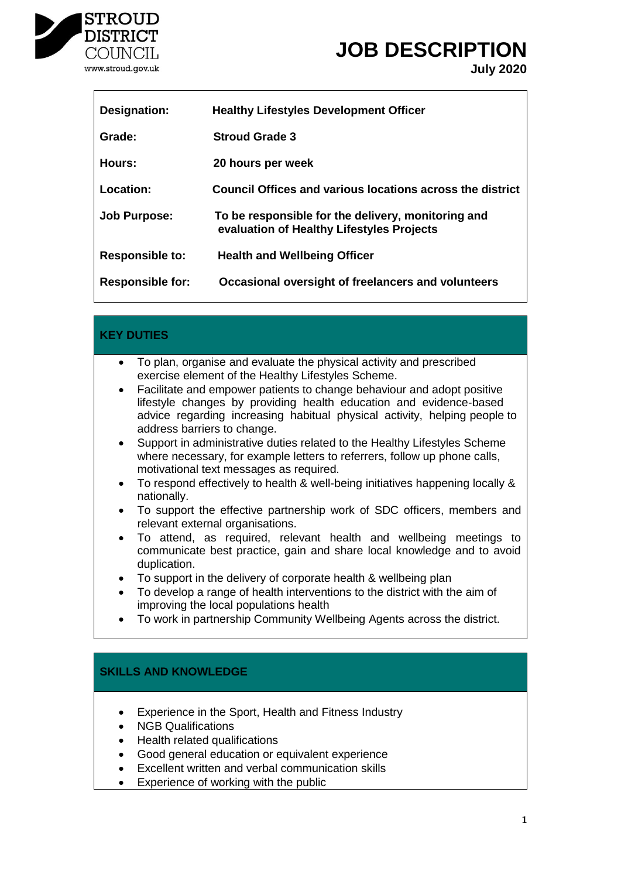

# **JOB DESCRIPTION**

**July 2020**

| Designation:            | <b>Healthy Lifestyles Development Officer</b>                                                   |
|-------------------------|-------------------------------------------------------------------------------------------------|
| Grade:                  | <b>Stroud Grade 3</b>                                                                           |
| Hours:                  | 20 hours per week                                                                               |
| Location:               | Council Offices and various locations across the district                                       |
| <b>Job Purpose:</b>     | To be responsible for the delivery, monitoring and<br>evaluation of Healthy Lifestyles Projects |
| <b>Responsible to:</b>  | <b>Health and Wellbeing Officer</b>                                                             |
| <b>Responsible for:</b> | Occasional oversight of freelancers and volunteers                                              |

### **KEY DUTIES**

- To plan, organise and evaluate the physical activity and prescribed exercise element of the Healthy Lifestyles Scheme.
- Facilitate and empower patients to change behaviour and adopt positive lifestyle changes by providing health education and evidence-based advice regarding increasing habitual physical activity, helping people to address barriers to change.
- Support in administrative duties related to the Healthy Lifestyles Scheme where necessary, for example letters to referrers, follow up phone calls, motivational text messages as required.
- To respond effectively to health & well-being initiatives happening locally & nationally.
- To support the effective partnership work of SDC officers, members and relevant external organisations.
- To attend, as required, relevant health and wellbeing meetings to communicate best practice, gain and share local knowledge and to avoid duplication.
- To support in the delivery of corporate health & wellbeing plan
- To develop a range of health interventions to the district with the aim of improving the local populations health
- To work in partnership Community Wellbeing Agents across the district.

# **SKILLS AND KNOWLEDGE**

- Experience in the Sport, Health and Fitness Industry
- NGB Qualifications
- Health related qualifications
- Good general education or equivalent experience
- Excellent written and verbal communication skills
- Experience of working with the public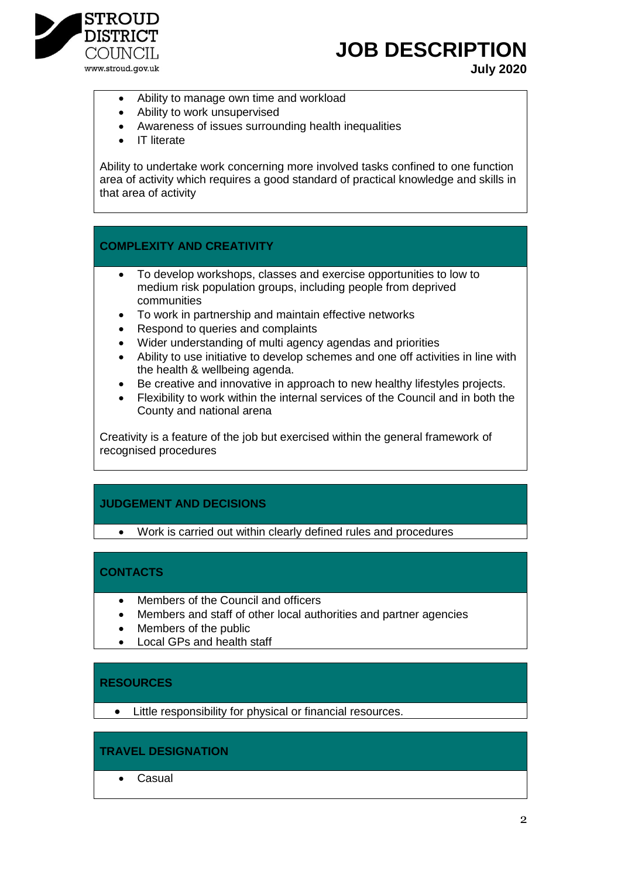

# **JOB DESCRIPTION**

**July 2020**

- Ability to manage own time and workload
- Ability to work unsupervised
- Awareness of issues surrounding health inequalities
- IT literate

Ability to undertake work concerning more involved tasks confined to one function area of activity which requires a good standard of practical knowledge and skills in that area of activity

### **COMPLEXITY AND CREATIVITY**

- To develop workshops, classes and exercise opportunities to low to medium risk population groups, including people from deprived communities
- To work in partnership and maintain effective networks
- Respond to queries and complaints
- Wider understanding of multi agency agendas and priorities
- Ability to use initiative to develop schemes and one off activities in line with the health & wellbeing agenda.
- Be creative and innovative in approach to new healthy lifestyles projects.
- Flexibility to work within the internal services of the Council and in both the County and national arena

Creativity is a feature of the job but exercised within the general framework of recognised procedures

# **JUDGEMENT AND DECISIONS**

Work is carried out within clearly defined rules and procedures

#### **CONTACTS**

- Members of the Council and officers
- Members and staff of other local authorities and partner agencies
- Members of the public
- Local GPs and health staff

#### **RESOURCES**

Little responsibility for physical or financial resources.

#### **TRAVEL DESIGNATION**

Casual